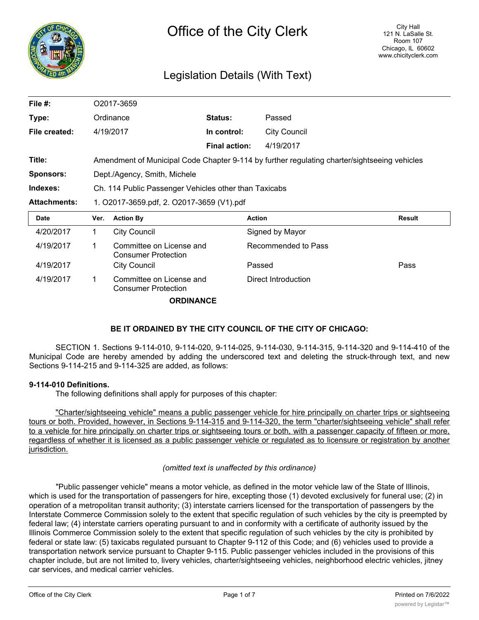

# Legislation Details (With Text)

| File $#$ :          |                                                                                              | O2017-3659                                             |                      |                     |               |
|---------------------|----------------------------------------------------------------------------------------------|--------------------------------------------------------|----------------------|---------------------|---------------|
| Type:               |                                                                                              | Ordinance                                              | Status:              | Passed              |               |
| File created:       |                                                                                              | 4/19/2017                                              | In control:          | <b>City Council</b> |               |
|                     |                                                                                              |                                                        | <b>Final action:</b> | 4/19/2017           |               |
| Title:              | Amendment of Municipal Code Chapter 9-114 by further regulating charter/sightseeing vehicles |                                                        |                      |                     |               |
| <b>Sponsors:</b>    | Dept./Agency, Smith, Michele                                                                 |                                                        |                      |                     |               |
| Indexes:            | Ch. 114 Public Passenger Vehicles other than Taxicabs                                        |                                                        |                      |                     |               |
| <b>Attachments:</b> | 1. O2017-3659.pdf, 2. O2017-3659 (V1).pdf                                                    |                                                        |                      |                     |               |
| Date                | Ver.                                                                                         | <b>Action By</b>                                       |                      | <b>Action</b>       | <b>Result</b> |
| 4/20/2017           | 1.                                                                                           |                                                        |                      |                     |               |
|                     |                                                                                              | <b>City Council</b>                                    |                      | Signed by Mayor     |               |
| 4/19/2017           | 1                                                                                            | Committee on License and<br><b>Consumer Protection</b> |                      | Recommended to Pass |               |
| 4/19/2017           |                                                                                              | <b>City Council</b>                                    |                      | Passed              | Pass          |

**ORDINANCE**

## **BE IT ORDAINED BY THE CITY COUNCIL OF THE CITY OF CHICAGO:**

SECTION 1. Sections 9-114-010, 9-114-020, 9-114-025, 9-114-030, 9-114-315, 9-114-320 and 9-114-410 of the Municipal Code are hereby amended by adding the underscored text and deleting the struck-through text, and new Sections 9-114-215 and 9-114-325 are added, as follows:

## **9-114-010 Definitions.**

The following definitions shall apply for purposes of this chapter:

"Charter/sightseeing vehicle" means a public passenger vehicle for hire principally on charter trips or sightseeing tours or both. Provided, however, in Sections 9-114-315 and 9-114-320, the term "charter/sightseeing vehicle" shall refer to a vehicle for hire principally on charter trips or sightseeing tours or both, with a passenger capacity of fifteen or more, regardless of whether it is licensed as a public passenger vehicle or regulated as to licensure or registration by another jurisdiction.

## *(omitted text is unaffected by this ordinance)*

"Public passenger vehicle" means a motor vehicle, as defined in the motor vehicle law of the State of Illinois, which is used for the transportation of passengers for hire, excepting those (1) devoted exclusively for funeral use; (2) in operation of a metropolitan transit authority; (3) interstate carriers licensed for the transportation of passengers by the Interstate Commerce Commission solely to the extent that specific regulation of such vehicles by the city is preempted by federal law; (4) interstate carriers operating pursuant to and in conformity with a certificate of authority issued by the Illinois Commerce Commission solely to the extent that specific regulation of such vehicles by the city is prohibited by federal or state law: (5) taxicabs regulated pursuant to Chapter 9-112 of this Code; and (6) vehicles used to provide a transportation network service pursuant to Chapter 9-115. Public passenger vehicles included in the provisions of this chapter include, but are not limited to, livery vehicles, charter/sightseeing vehicles, neighborhood electric vehicles, jitney car services, and medical carrier vehicles.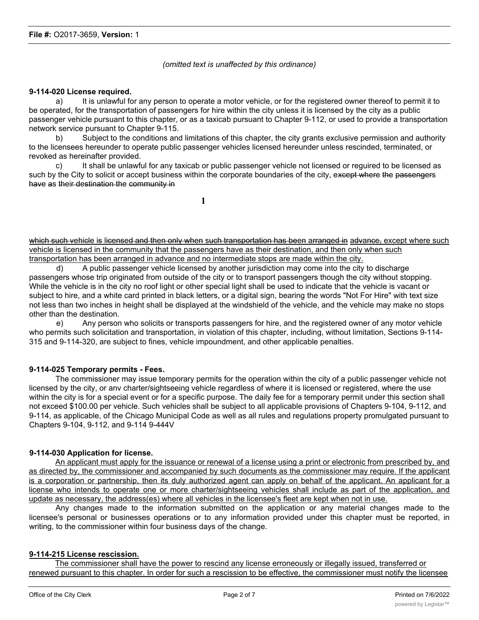#### *(omitted text is unaffected by this ordinance)*

#### **9-114-020 License required.**

a) It is unlawful for any person to operate a motor vehicle, or for the registered owner thereof to permit it to be operated, for the transportation of passengers for hire within the city unless it is licensed by the city as a public passenger vehicle pursuant to this chapter, or as a taxicab pursuant to Chapter 9-112, or used to provide a transportation network service pursuant to Chapter 9-115.

b) Subject to the conditions and limitations of this chapter, the city grants exclusive permission and authority to the licensees hereunder to operate public passenger vehicles licensed hereunder unless rescinded, terminated, or revoked as hereinafter provided.

c) It shall be unlawful for any taxicab or public passenger vehicle not licensed or reguired to be licensed as such by the City to solicit or accept business within the corporate boundaries of the city, except where the passengers have as their destination the community in

**1**

which such vehicle is licensed and then only when such transportation has been arranged in advance, except where such vehicle is licensed in the community that the passengers have as their destination, and then only when such transportation has been arranged in advance and no intermediate stops are made within the city.

d) A public passenger vehicle licensed by another jurisdiction may come into the city to discharge passengers whose trip originated from outside of the city or to transport passengers though the city without stopping. While the vehicle is in the city no roof light or other special light shall be used to indicate that the vehicle is vacant or subject to hire, and a white card printed in black letters, or a digital sign, bearing the words "Not For Hire" with text size not less than two inches in height shall be displayed at the windshield of the vehicle, and the vehicle may make no stops other than the destination.

e) Any person who solicits or transports passengers for hire, and the registered owner of any motor vehicle who permits such solicitation and transportation, in violation of this chapter, including, without limitation, Sections 9-114- 315 and 9-114-320, are subject to fines, vehicle impoundment, and other applicable penalties.

## **9-114-025 Temporary permits - Fees.**

The commissioner may issue temporary permits for the operation within the city of a public passenger vehicle not licensed by the city, or anv charter/sightseeing vehicle regardless of where it is licensed or registered, where the use within the city is for a special event or for a specific purpose. The daily fee for a temporary permit under this section shall not exceed \$100.00 per vehicle. Such vehicles shall be subject to all applicable provisions of Chapters 9-104, 9-112, and 9-114, as applicable, of the Chicago Municipal Code as well as all rules and regulations property promulgated pursuant to Chapters 9-104, 9-112, and 9-114 9-444V

#### **9-114-030 Application for license.**

An applicant must apply for the issuance or renewal of a license using a print or electronic from prescribed by, and as directed by, the commissioner and accompanied by such documents as the commissioner may require. If the applicant is a corporation or partnership, then its duly authorized agent can apply on behalf of the applicant. An applicant for a license who intends to operate one or more charter/sightseeing vehicles shall include as part of the application, and update as necessary, the address(es) where all vehicles in the licensee's fleet are kept when not in use.

Any changes made to the information submitted on the application or any material changes made to the licensee's personal or businesses operations or to any information provided under this chapter must be reported, in writing, to the commissioner within four business days of the change.

## **9-114-215 License rescission.**

The commissioner shall have the power to rescind any license erroneously or illegally issued, transferred or renewed pursuant to this chapter. In order for such a rescission to be effective, the commissioner must notify the licensee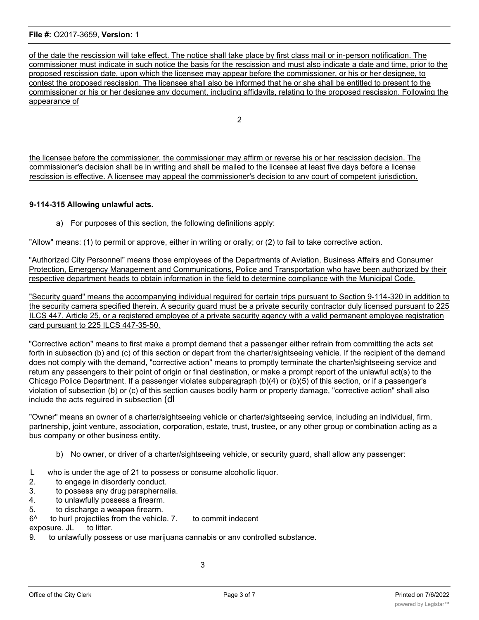## **File #:** O2017-3659, **Version:** 1

of the date the rescission will take effect. The notice shall take place by first class mail or in-person notification. The commissioner must indicate in such notice the basis for the rescission and must also indicate a date and time, prior to the proposed rescission date, upon which the licensee may appear before the commissioner, or his or her designee, to contest the proposed rescission. The licensee shall also be informed that he or she shall be entitled to present to the commissioner or his or her designee anv document, including affidavits, relating to the proposed rescission. Following the appearance of

2

the licensee before the commissioner, the commissioner may affirm or reverse his or her rescission decision. The commissioner's decision shall be in writing and shall be mailed to the licensee at least five days before a license rescission is effective. A licensee may appeal the commissioner's decision to anv court of competent jurisdiction.

## **9-114-315 Allowing unlawful acts.**

a) For purposes of this section, the following definitions apply:

"Allow" means: (1) to permit or approve, either in writing or orally; or (2) to fail to take corrective action.

"Authorized City Personnel" means those employees of the Departments of Aviation, Business Affairs and Consumer Protection, Emergency Management and Communications, Police and Transportation who have been authorized by their respective department heads to obtain information in the field to determine compliance with the Municipal Code.

"Security guard" means the accompanying individual reguired for certain trips pursuant to Section 9-114-320 in addition to the security camera specified therein. A security guard must be a private security contractor duly licensed pursuant to 225 ILCS 447. Article 25, or a registered employee of a private security agency with a valid permanent employee registration card pursuant to 225 ILCS 447-35-50.

"Corrective action" means to first make a prompt demand that a passenger either refrain from committing the acts set forth in subsection (b) and (c) of this section or depart from the charter/sightseeing vehicle. If the recipient of the demand does not comply with the demand, "corrective action" means to promptly terminate the charter/sightseeing service and return any passengers to their point of origin or final destination, or make a prompt report of the unlawful act(s) to the Chicago Police Department. If a passenger violates subparagraph (b)(4) or (b)(5) of this section, or if a passenger's violation of subsection (b) or (c) of this section causes bodily harm or property damage, "corrective action" shall also include the acts reguired in subsection (dl

"Owner" means an owner of a charter/sightseeing vehicle or charter/sightseeing service, including an individual, firm, partnership, joint venture, association, corporation, estate, trust, trustee, or any other group or combination acting as a bus company or other business entity.

- b) No owner, or driver of a charter/sightseeing vehicle, or security guard, shall allow any passenger:
- L who is under the age of 21 to possess or consume alcoholic liquor.
- 2. to engage in disorderly conduct.
- 3. to possess any drug paraphernalia.
- 4. to unlawfully possess a firearm.
- 5. to discharge a weapon firearm.
- 6^ to hurl projectiles from the vehicle. 7. to commit indecent
- exposure. JL to litter.
- 9. to unlawfully possess or use marijuana cannabis or anv controlled substance.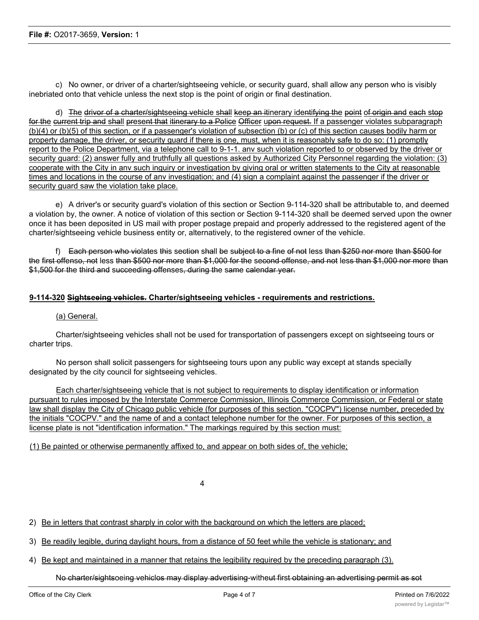c) No owner, or driver of a charter/sightseeing vehicle, or security guard, shall allow any person who is visibly inebriated onto that vehicle unless the next stop is the point of origin or final destination.

d) The drivor of a charter/sightseeing vehicle shall keep an itinerary identifying the point of origin and each stop for the current trip and shall present that itinerary to a Police Officer upon request. If a passenger violates subparagraph (b)(4) or (b)(5) of this section, or if a passenger's violation of subsection (b) or (c) of this section causes bodily harm or property damage, the driver, or security guard if there is one, must, when it is reasonably safe to do so: (1) promptly report to the Police Department, via a telephone call to 9-1-1. anv such violation reported to or observed by the driver or security guard: (2) answer fully and truthfully all questions asked by Authorized City Personnel regarding the violation: (3) cooperate with the City in anv such inguiry or investigation by giving oral or written statements to the City at reasonable times and locations in the course of anv investigation; and (4) sign a complaint against the passenger if the driver or security guard saw the violation take place.

e) A driver's or security guard's violation of this section or Section 9-114-320 shall be attributable to, and deemed a violation by, the owner. A notice of violation of this section or Section 9-114-320 shall be deemed served upon the owner once it has been deposited in US mail with proper postage prepaid and properly addressed to the registered agent of the charter/sightseeing vehicle business entity or, alternatively, to the registered owner of the vehicle.

f) Each person who violates this section shall be subject to a fine of not less than  $$250$  nor more than  $$500$  for the first offenso, not less than \$500 nor more than \$1,000 for the second offense, and not less than \$1,000 nor more than \$1,500 for the third and succeeding offenses, during the same calendar year.

## **9-114-320 Sightseeing vehicles. Charter/sightseeing vehicles - requirements and restrictions.**

## (a) General.

Charter/sightseeing vehicles shall not be used for transportation of passengers except on sightseeing tours or charter trips.

No person shall solicit passengers for sightseeing tours upon any public way except at stands specially designated by the city council for sightseeing vehicles.

Each charter/sightseeing vehicle that is not subject to requirements to display identification or information pursuant to rules imposed by the Interstate Commerce Commission, Illinois Commerce Commission, or Federal or state law shall display the City of Chicago public vehicle (for purposes of this section. "COCPV") license number, preceded by the initials "COCPV." and the name of and a contact telephone number for the owner. For purposes of this section, a license plate is not "identification information." The markings reguired by this section must:

## (1) Be painted or otherwise permanently affixed to, and appear on both sides of, the vehicle;

4

- 2) Be in letters that contrast sharply in color with the background on which the letters are placed;
- 3) Be readily legible, during daylight hours, from a distance of 50 feet while the vehicle is stationary; and
- 4) Be kept and maintained in a manner that retains the legibility reguired by the preceding paragraph (3).

No charter/sightsoeing vehiclos may display advertising-witheut first obtaining an advertising permit as sot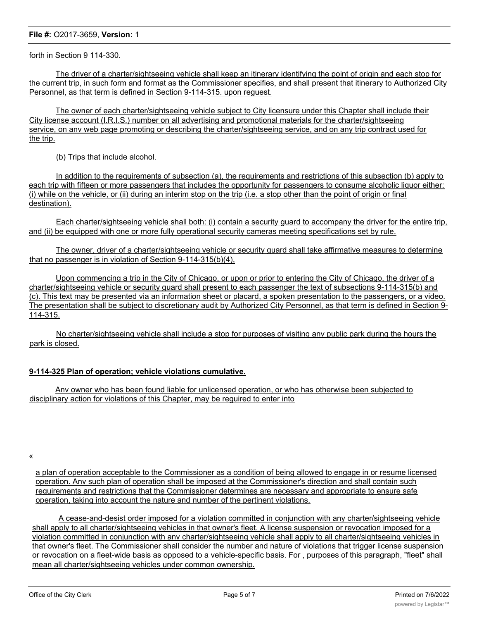## **File #:** O2017-3659, **Version:** 1

#### forth in Section 9 114-330.

The driver of a charter/sightseeing vehicle shall keep an itinerary identifying the point of origin and each stop for the current trip, in such form and format as the Commissioner specifies, and shall present that itinerary to Authorized City Personnel, as that term is defined in Section 9-114-315. upon reguest.

The owner of each charter/sightseeing vehicle subject to City licensure under this Chapter shall include their City license account (I.R.I.S.) number on all advertising and promotional materials for the charter/sightseeing service, on anv web page promoting or describing the charter/sightseeing service, and on any trip contract used for the trip.

(b) Trips that include alcohol.

In addition to the requirements of subsection (a), the requirements and restrictions of this subsection (b) apply to each trip with fifteen or more passengers that includes the opportunity for passengers to consume alcoholic liquor either: (i) while on the vehicle, or (ii) during an interim stop on the trip (i.e. a stop other than the point of origin or final destination).

Each charter/sightseeing vehicle shall both: (i) contain a security guard to accompany the driver for the entire trip, and (ii) be equipped with one or more fully operational security cameras meeting specifications set by rule.

The owner, driver of a charter/sightseeing vehicle or security guard shall take affirmative measures to determine that no passenger is in violation of Section 9-114-315(b)(4),

Upon commencing a trip in the City of Chicago, or upon or prior to entering the City of Chicago, the driver of a charter/sightseeing vehicle or security guard shall present to each passenger the text of subsections 9-114-315(b) and (c). This text may be presented via an information sheet or placard, a spoken presentation to the passengers, or a video. The presentation shall be subject to discretionary audit by Authorized City Personnel, as that term is defined in Section 9- 114-315.

No charter/sightseeing vehicle shall include a stop for purposes of visiting anv public park during the hours the park is closed.

## **9-114-325 Plan of operation; vehicle violations cumulative.**

Anv owner who has been found liable for unlicensed operation, or who has otherwise been subjected to disciplinary action for violations of this Chapter, may be reguired to enter into

«

a plan of operation acceptable to the Commissioner as a condition of being allowed to engage in or resume licensed operation. Anv such plan of operation shall be imposed at the Commissioner's direction and shall contain such reguirements and restrictions that the Commissioner determines are necessary and appropriate to ensure safe operation, taking into account the nature and number of the pertinent violations.

A cease-and-desist order imposed for a violation committed in conjunction with any charter/sightseeing vehicle shall apply to all charter/sightseeing vehicles in that owner's fleet. A license suspension or revocation imposed for a violation committed in conjunction with anv charter/sightseeing vehicle shall apply to all charter/sightseeing vehicles in that owner's fleet. The Commissioner shall consider the number and nature of violations that trigger license suspension or revocation on a fleet-wide basis as opposed to a vehicle-specific basis. For , purposes of this paragraph, "fleet" shall mean all charter/sightseeing vehicles under common ownership.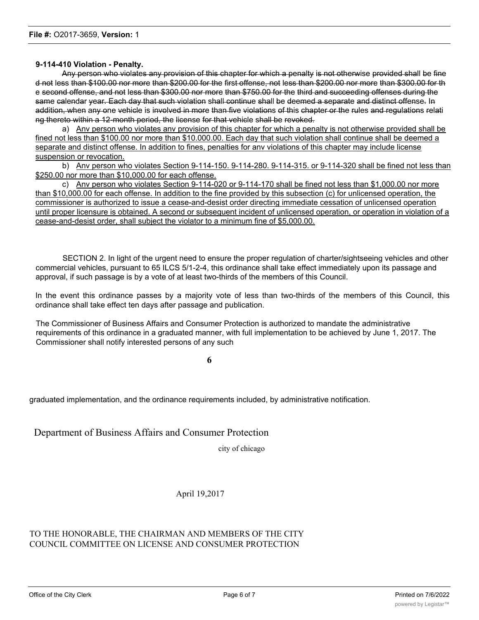## **9-114-410 Violation - Penalty.**

Any person who violates any provision of this chapter for which a penalty is not otherwise provided shall be fine d not less than \$100.00 nor more than \$200.00 for the first offense, not less than \$200.00 nor more than \$300.00 for th e second offense, and not less than \$300.00 nor more than \$750.00 for the third and succeeding offenses during the same calendar year. Each day that such violation shall continue shall be deemed a separate and distinct offense. In addition, when any one vehicle is involved in more than five violations of this chapter or the rules and regulations relati ng thereto within a 12-month period, the license for that vehicle shall be revoked.

a) Anv person who violates anv provision of this chapter for which a penalty is not otherwise provided shall be fined not less than \$100.00 nor more than \$10.000.00. Each day that such violation shall continue shall be deemed a separate and distinct offense. In addition to fines, penalties for anv violations of this chapter may include license suspension or revocation.

b) Anv person who violates Section 9-114-150. 9-114-280. 9-114-315. or 9-114-320 shall be fined not less than \$250.00 nor more than \$10,000.00 for each offense.

c) Anv person who violates Section 9-114-020 or 9-114-170 shall be fined not less than \$1,000.00 nor more than \$10,000.00 for each offense. In addition to the fine provided by this subsection (c) for unlicensed operation, the commissioner is authorized to issue a cease-and-desist order directing immediate cessation of unlicensed operation until proper licensure is obtained. A second or subseguent incident of unlicensed operation, or operation in violation of a cease-and-desist order, shall subject the violator to a minimum fine of \$5,000.00.

SECTION 2. In light of the urgent need to ensure the proper regulation of charter/sightseeing vehicles and other commercial vehicles, pursuant to 65 ILCS 5/1-2-4, this ordinance shall take effect immediately upon its passage and approval, if such passage is by a vote of at least two-thirds of the members of this Council.

In the event this ordinance passes by a majority vote of less than two-thirds of the members of this Council, this ordinance shall take effect ten days after passage and publication.

The Commissioner of Business Affairs and Consumer Protection is authorized to mandate the administrative requirements of this ordinance in a graduated manner, with full implementation to be achieved by June 1, 2017. The Commissioner shall notify interested persons of any such

**6**

graduated implementation, and the ordinance requirements included, by administrative notification.

Department of Business Affairs and Consumer Protection

city of chicago

April 19,2017

## TO THE HONORABLE, THE CHAIRMAN AND MEMBERS OF THE CITY COUNCIL COMMITTEE ON LICENSE AND CONSUMER PROTECTION